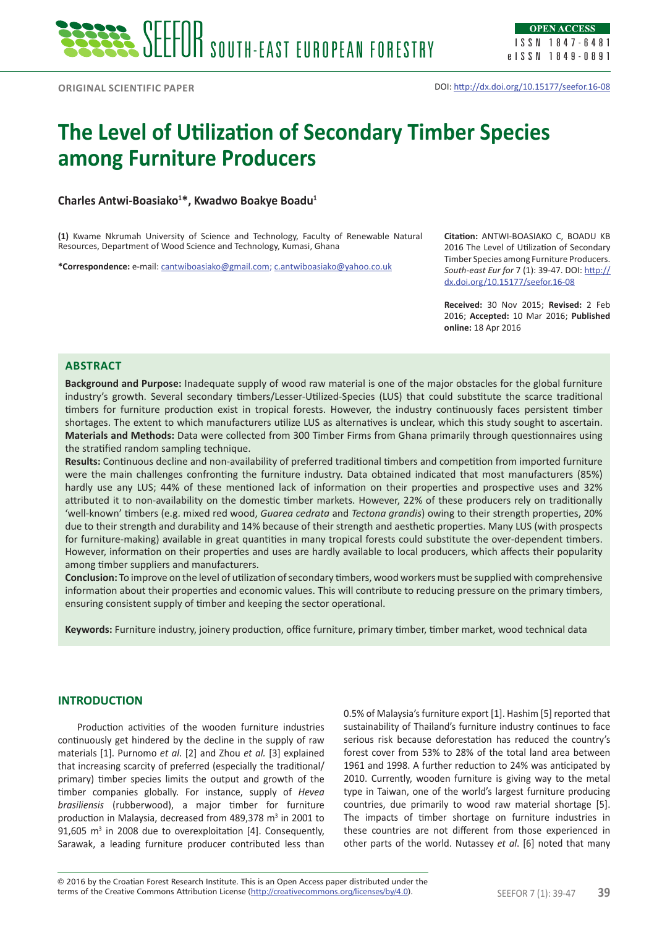# **The Level of Utilization of Secondary Timber Species among Furniture Producers**

**Charles Antwi-Boasiako<sup>1</sup> \*, Kwadwo Boakye Boadu<sup>1</sup>**

**(1)** Kwame Nkrumah University of Science and Technology, Faculty of Renewable Natural Resources, Department of Wood Science and Technology, Kumasi, Ghana

**\*Correspondence:** e-mail: cantwiboasiako@gmail.com; c.antwiboasiako@yahoo.co.uk

**Citation:** ANTWI-BOASIAKO C, BOADU KB 2016 The Level of Utilization of Secondary Timber Species among Furniture Producers. *South-east Eur for* 7 (1): 39-47. DOI: http:// dx.doi.org/10.15177/seefor.16-08

**Received:** 30 Nov 2015; **Revised:** 2 Feb 2016; **Accepted:** 10 Mar 2016; **Published online:** 18 Apr 2016

# **Abstract**

**Background and Purpose:** Inadequate supply of wood raw material is one of the major obstacles for the global furniture industry's growth. Several secondary timbers/Lesser-Utilized-Species (LUS) that could substitute the scarce traditional timbers for furniture production exist in tropical forests. However, the industry continuously faces persistent timber shortages. The extent to which manufacturers utilize LUS as alternatives is unclear, which this study sought to ascertain. **Materials and Methods:** Data were collected from 300 Timber Firms from Ghana primarily through questionnaires using the stratified random sampling technique.

**Results:** Continuous decline and non-availability of preferred traditional timbers and competition from imported furniture were the main challenges confronting the furniture industry. Data obtained indicated that most manufacturers (85%) hardly use any LUS; 44% of these mentioned lack of information on their properties and prospective uses and 32% attributed it to non-availability on the domestic timber markets. However, 22% of these producers rely on traditionally 'well-known' timbers (e.g. mixed red wood, *Guarea cedrata* and *Tectona grandis*) owing to their strength properties, 20% due to their strength and durability and 14% because of their strength and aesthetic properties. Many LUS (with prospects for furniture-making) available in great quantities in many tropical forests could substitute the over-dependent timbers. However, information on their properties and uses are hardly available to local producers, which affects their popularity among timber suppliers and manufacturers.

**Conclusion:** To improve on the level of utilization of secondary timbers, wood workers must be supplied with comprehensive information about their properties and economic values. This will contribute to reducing pressure on the primary timbers, ensuring consistent supply of timber and keeping the sector operational.

**Keywords:** Furniture industry, joinery production, office furniture, primary timber, timber market, wood technical data

# **INTRODUCTION**

Production activities of the wooden furniture industries continuously get hindered by the decline in the supply of raw materials [1]. Purnomo *et al*. [2] and Zhou *et al.* [3] explained that increasing scarcity of preferred (especially the traditional/ primary) timber species limits the output and growth of the timber companies globally. For instance, supply of *Hevea brasiliensis* (rubberwood), a major timber for furniture production in Malaysia, decreased from 489,378 m<sup>3</sup> in 2001 to 91,605  $m<sup>3</sup>$  in 2008 due to overexploitation [4]. Consequently, Sarawak, a leading furniture producer contributed less than

0.5% of Malaysia's furniture export [1]. Hashim [5] reported that sustainability of Thailand's furniture industry continues to face serious risk because deforestation has reduced the country's forest cover from 53% to 28% of the total land area between 1961 and 1998. A further reduction to 24% was anticipated by 2010. Currently, wooden furniture is giving way to the metal type in Taiwan, one of the world's largest furniture producing countries, due primarily to wood raw material shortage [5]. The impacts of timber shortage on furniture industries in these countries are not different from those experienced in other parts of the world. Nutassey *et al*. [6] noted that many

terms of the Creative Commons Attribution License (http://creativecommons.org/licenses/by/4.0). SEEFOR 7 (1): 39-47 **39** © 2016 by the Croatian Forest Research Institute. This is an Open Access paper distributed under the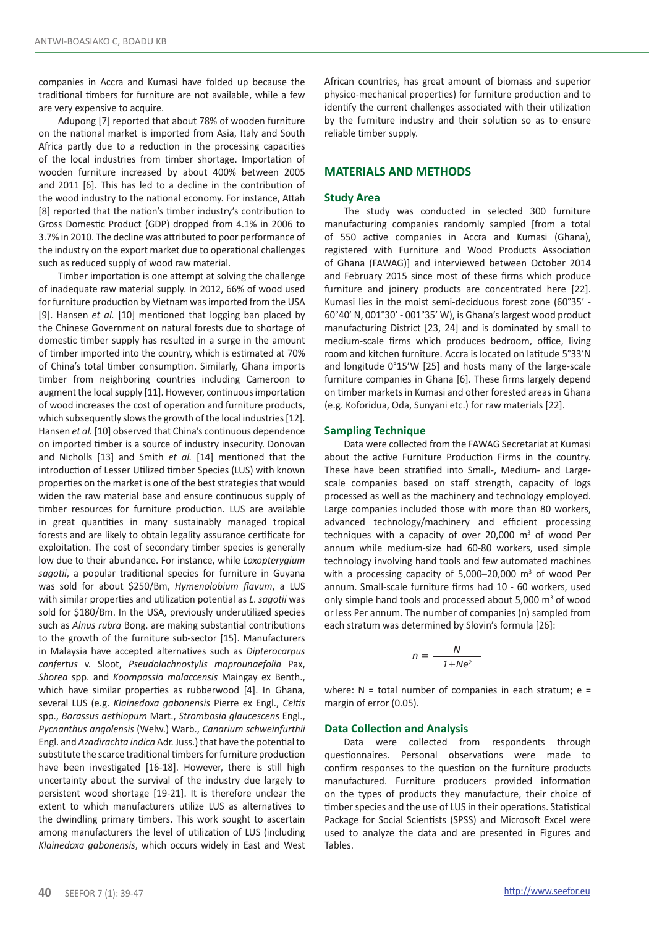companies in Accra and Kumasi have folded up because the traditional timbers for furniture are not available, while a few are very expensive to acquire.

Adupong [7] reported that about 78% of wooden furniture on the national market is imported from Asia, Italy and South Africa partly due to a reduction in the processing capacities of the local industries from timber shortage. Importation of wooden furniture increased by about 400% between 2005 and 2011 [6]. This has led to a decline in the contribution of the wood industry to the national economy. For instance, Attah [8] reported that the nation's timber industry's contribution to Gross Domestic Product (GDP) dropped from 4.1% in 2006 to 3.7% in 2010. The decline was attributed to poor performance of the industry on the export market due to operational challenges such as reduced supply of wood raw material.

Timber importation is one attempt at solving the challenge of inadequate raw material supply. In 2012, 66% of wood used for furniture production by Vietnam was imported from the USA [9]. Hansen *et al.* [10] mentioned that logging ban placed by the Chinese Government on natural forests due to shortage of domestic timber supply has resulted in a surge in the amount of timber imported into the country, which is estimated at 70% of China's total timber consumption. Similarly, Ghana imports timber from neighboring countries including Cameroon to augment the local supply [11]. However, continuous importation of wood increases the cost of operation and furniture products, which subsequently slows the growth of the local industries [12]. Hansen *et al.* [10] observed that China's continuous dependence on imported timber is a source of industry insecurity. Donovan and Nicholls [13] and Smith *et al.* [14] mentioned that the introduction of Lesser Utilized timber Species (LUS) with known properties on the market is one of the best strategies that would widen the raw material base and ensure continuous supply of timber resources for furniture production. LUS are available in great quantities in many sustainably managed tropical forests and are likely to obtain legality assurance certificate for exploitation. The cost of secondary timber species is generally low due to their abundance. For instance, while *Loxopterygium sagotii*, a popular traditional species for furniture in Guyana was sold for about \$250/Bm, *Hymenolobium flavum*, a LUS with similar properties and utilization potential as *L*. *sagotii* was sold for \$180/Bm. In the USA, previously underutilized species such as *Alnus rubra* Bong. are making substantial contributions to the growth of the furniture sub-sector [15]. Manufacturers in Malaysia have accepted alternatives such as *Dipterocarpus confertus* v. Sloot, *Pseudolachnostylis maprounaefolia* Pax, *Shorea* spp. and *Koompassia malaccensis* Maingay ex Benth., which have similar properties as rubberwood [4]. In Ghana, several LUS (e.g. *Klainedoxa gabonensis* Pierre ex Engl., *Celtis* spp., *Borassus aethiopum* Mart., *Strombosia glaucescens* Engl., *Pycnanthus angolensis* (Welw.) Warb., *Canarium schweinfurthii*  Engl. and *Azadirachta indica* Adr. Juss.) that have the potential to substitute the scarce traditional timbers for furniture production have been investigated [16-18]. However, there is still high uncertainty about the survival of the industry due largely to persistent wood shortage [19-21]. It is therefore unclear the extent to which manufacturers utilize LUS as alternatives to the dwindling primary timbers. This work sought to ascertain among manufacturers the level of utilization of LUS (including *Klainedoxa gabonensis*, which occurs widely in East and West African countries, has great amount of biomass and superior physico-mechanical properties) for furniture production and to identify the current challenges associated with their utilization by the furniture industry and their solution so as to ensure reliable timber supply.

# **MATERIALS AND METHODS**

#### **Study Area**

The study was conducted in selected 300 furniture manufacturing companies randomly sampled [from a total of 550 active companies in Accra and Kumasi (Ghana), registered with Furniture and Wood Products Association of Ghana (FAWAG)] and interviewed between October 2014 and February 2015 since most of these firms which produce furniture and joinery products are concentrated here [22]. Kumasi lies in the moist semi-deciduous forest zone (60°35' - 60°40' N, 001°30' - 001°35' W), is Ghana's largest wood product manufacturing District [23, 24] and is dominated by small to medium-scale firms which produces bedroom, office, living room and kitchen furniture. Accra is located on latitude 5°33'N and longitude 0°15'W [25] and hosts many of the large-scale furniture companies in Ghana [6]. These firms largely depend on timber markets in Kumasi and other forested areas in Ghana (e.g. Koforidua, Oda, Sunyani etc.) for raw materials [22].

#### **Sampling Technique**

Data were collected from the FAWAG Secretariat at Kumasi about the active Furniture Production Firms in the country. These have been stratified into Small-, Medium- and Largescale companies based on staff strength, capacity of logs processed as well as the machinery and technology employed. Large companies included those with more than 80 workers, advanced technology/machinery and efficient processing techniques with a capacity of over 20,000  $\mathrm{m}^3$  of wood Per annum while medium-size had 60-80 workers, used simple technology involving hand tools and few automated machines with a processing capacity of  $5,000-20,000$  m<sup>3</sup> of wood Per annum. Small-scale furniture firms had 10 - 60 workers, used only simple hand tools and processed about 5,000 m<sup>3</sup> of wood or less Per annum. The number of companies (n) sampled from each stratum was determined by Slovin's formula [26]:

$$
n = \frac{N}{1 + Ne^2}
$$

where:  $N =$  total number of companies in each stratum;  $e =$ margin of error (0.05).

#### **Data Collection and Analysis**

Data were collected from respondents through questionnaires. Personal observations were made to confirm responses to the question on the furniture products manufactured. Furniture producers provided information on the types of products they manufacture, their choice of timber species and the use of LUS in their operations. Statistical Package for Social Scientists (SPSS) and Microsoft Excel were used to analyze the data and are presented in Figures and Tables.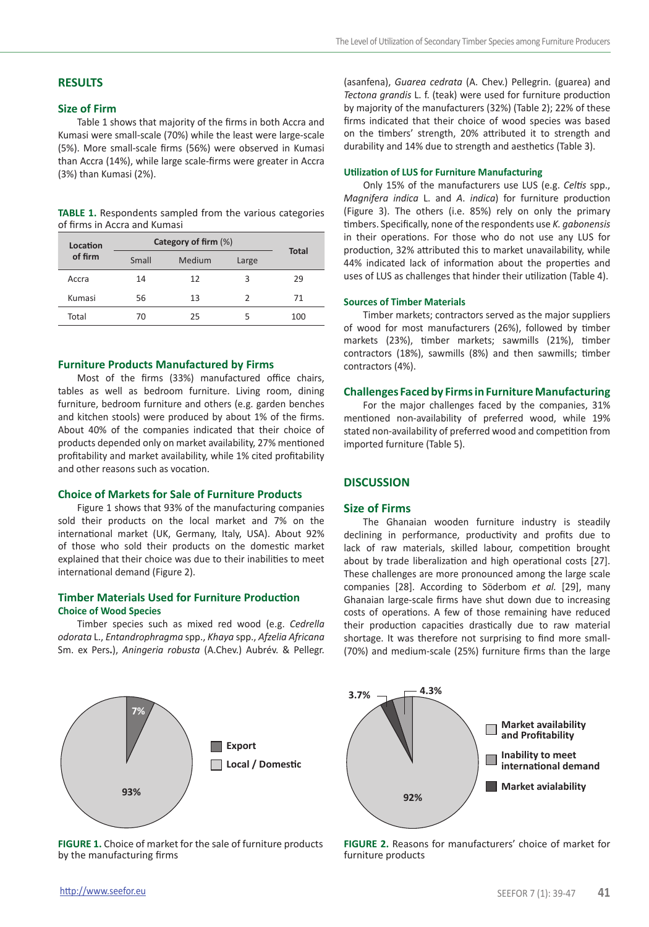# **RESULTS**

# **Size of Firm**

Table 1 shows that majority of the firms in both Accra and Kumasi were small-scale (70%) while the least were large-scale (5%). More small-scale firms (56%) were observed in Kumasi than Accra (14%), while large scale-firms were greater in Accra (3%) than Kumasi (2%).

**TABLE 1.** Respondents sampled from the various categories of firms in Accra and Kumasi

| Location | Category of firm (%) | <b>Total</b> |       |     |
|----------|----------------------|--------------|-------|-----|
| of firm  | Small                | Medium       | Large |     |
| Accra    | 14                   | 12           | З     | 29  |
| Kumasi   | 56                   | 13           | 2     | 71  |
| Total    | 70                   | 25           |       | 100 |

# **Furniture Products Manufactured by Firms**

Most of the firms (33%) manufactured office chairs, tables as well as bedroom furniture. Living room, dining furniture, bedroom furniture and others (e.g. garden benches and kitchen stools) were produced by about 1% of the firms. About 40% of the companies indicated that their choice of products depended only on market availability, 27% mentioned profitability and market availability, while 1% cited profitability and other reasons such as vocation.

# **Choice of Markets for Sale of Furniture Products**

Figure 1 shows that 93% of the manufacturing companies sold their products on the local market and 7% on the international market (UK, Germany, Italy, USA). About 92% of those who sold their products on the domestic market explained that their choice was due to their inabilities to meet international demand (Figure 2).

# **Timber Materials Used for Furniture Production Choice of Wood Species**

Timber species such as mixed red wood (e.g. *Cedrella odorata* L., *Entandrophragma* spp., *Khaya* spp., *Afzelia Africana*  Sm. ex Pers**.**), *Aningeria robusta* (A.Chev.) Aubrév. & Pellegr.



**FIGURE 1.** Choice of market for the sale of furniture products by the manufacturing firms

(asanfena), *Guarea cedrata* (A. Chev.) Pellegrin. (guarea) and *Tectona grandis* L. f. (teak) were used for furniture production by majority of the manufacturers (32%) (Table 2); 22% of these firms indicated that their choice of wood species was based on the timbers' strength, 20% attributed it to strength and durability and 14% due to strength and aesthetics (Table 3).

#### **Utilization of LUS for Furniture Manufacturing**

Only 15% of the manufacturers use LUS (e.g. *Celtis* spp., *Magnifera indica* L. and *A*. *indica*) for furniture production (Figure 3). The others (i.e. 85%) rely on only the primary timbers. Specifically, none of the respondents use *K. gabonensis*  in their operations. For those who do not use any LUS for production, 32% attributed this to market unavailability, while 44% indicated lack of information about the properties and uses of LUS as challenges that hinder their utilization (Table 4).

#### **Sources of Timber Materials**

Timber markets; contractors served as the major suppliers of wood for most manufacturers (26%), followed by timber markets (23%), timber markets; sawmills (21%), timber contractors (18%), sawmills (8%) and then sawmills; timber contractors (4%).

# **Challenges Faced by Firms in Furniture Manufacturing**

For the major challenges faced by the companies, 31% mentioned non-availability of preferred wood, while 19% stated non-availability of preferred wood and competition from imported furniture (Table 5).

# **DISCUSSION**

# **Size of Firms**

The Ghanaian wooden furniture industry is steadily declining in performance, productivity and profits due to lack of raw materials, skilled labour, competition brought about by trade liberalization and high operational costs [27]. These challenges are more pronounced among the large scale companies [28]. According to Söderbom *et al.* [29], many Ghanaian large-scale firms have shut down due to increasing costs of operations. A few of those remaining have reduced their production capacities drastically due to raw material shortage. It was therefore not surprising to find more small- (70%) and medium-scale (25%) furniture firms than the large



**FIGURE 2.** Reasons for manufacturers' choice of market for furniture products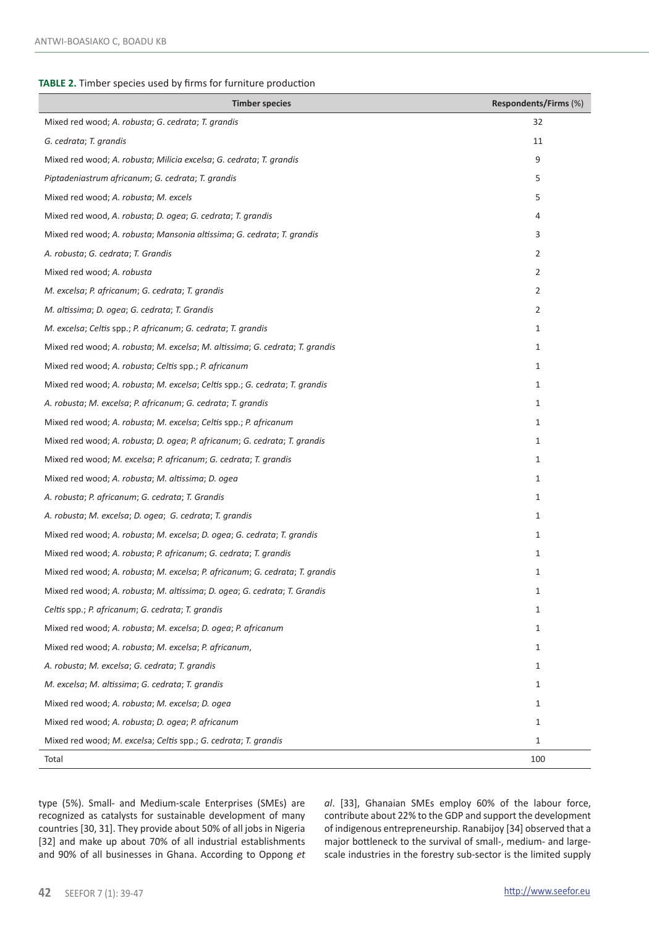#### **TABLE 2.** Timber species used by firms for furniture production

| <b>Timber species</b>                                                        | Respondents/Firms (%) |
|------------------------------------------------------------------------------|-----------------------|
| Mixed red wood; A. robusta; G. cedrata; T. grandis                           | 32                    |
| G. cedrata; T. grandis                                                       | 11                    |
| Mixed red wood; A. robusta; Milicia excelsa; G. cedrata; T. grandis          | 9                     |
| Piptadeniastrum africanum; G. cedrata; T. grandis                            | 5                     |
| Mixed red wood; A. robusta; M. excels                                        | 5                     |
| Mixed red wood, A. robusta; D. ogea; G. cedrata; T. grandis                  | $\overline{4}$        |
| Mixed red wood; A. robusta; Mansonia altissima; G. cedrata; T. grandis       | 3                     |
| A. robusta; G. cedrata; T. Grandis                                           | $\overline{2}$        |
| Mixed red wood; A. robusta                                                   | $\overline{2}$        |
| M. excelsa; P. africanum; G. cedrata; T. grandis                             | $\overline{2}$        |
| M. altissima; D. ogea; G. cedrata; T. Grandis                                | $\overline{2}$        |
| M. excelsa; Celtis spp.; P. africanum; G. cedrata; T. grandis                | $\mathbf{1}$          |
| Mixed red wood; A. robusta; M. excelsa; M. altissima; G. cedrata; T. grandis | $\mathbf{1}$          |
| Mixed red wood; A. robusta; Celtis spp.; P. africanum                        | 1                     |
| Mixed red wood; A. robusta; M. excelsa; Celtis spp.; G. cedrata; T. grandis  | 1                     |
| A. robusta; M. excelsa; P. africanum; G. cedrata; T. grandis                 | 1                     |
| Mixed red wood; A. robusta; M. excelsa; Celtis spp.; P. africanum            | $\mathbf{1}$          |
| Mixed red wood; A. robusta; D. ogea; P. africanum; G. cedrata; T. grandis    | $\mathbf{1}$          |
| Mixed red wood; M. excelsa; P. africanum; G. cedrata; T. grandis             | $\mathbf{1}$          |
| Mixed red wood; A. robusta; M. altissima; D. ogea                            | $\mathbf{1}$          |
| A. robusta; P. africanum; G. cedrata; T. Grandis                             | $\mathbf{1}$          |
| A. robusta; M. excelsa; D. ogea; G. cedrata; T. grandis                      | $\mathbf{1}$          |
| Mixed red wood; A. robusta; M. excelsa; D. ogea; G. cedrata; T. grandis      | $\mathbf{1}$          |
| Mixed red wood; A. robusta; P. africanum; G. cedrata; T. grandis             | $\mathbf{1}$          |
| Mixed red wood; A. robusta; M. excelsa; P. africanum; G. cedrata; T. grandis | $\mathbf{1}$          |
| Mixed red wood; A. robusta; M. altissima; D. ogea; G. cedrata; T. Grandis    | $\mathbf{1}$          |
| Celtis spp.; P. africanum; G. cedrata; T. grandis                            | 1                     |
| Mixed red wood; A. robusta; M. excelsa; D. ogea; P. africanum                | $\mathbf{1}$          |
| Mixed red wood; A. robusta; M. excelsa; P. africanum,                        | $\mathbf{1}$          |
| A. robusta; M. excelsa; G. cedrata; T. grandis                               | $\mathbf{1}$          |
| M. excelsa; M. altissima; G. cedrata; T. grandis                             | $\mathbf{1}$          |
| Mixed red wood; A. robusta; M. excelsa; D. ogea                              | $\mathbf{1}$          |
| Mixed red wood; A. robusta; D. ogea; P. africanum                            | 1                     |
| Mixed red wood; M. excelsa; Celtis spp.; G. cedrata; T. grandis              | $\mathbf{1}$          |
| Total                                                                        | 100                   |

type (5%). Small- and Medium-scale Enterprises (SMEs) are recognized as catalysts for sustainable development of many countries [30, 31]. They provide about 50% of all jobs in Nigeria [32] and make up about 70% of all industrial establishments and 90% of all businesses in Ghana. According to Oppong *et*  *al*. [33], Ghanaian SMEs employ 60% of the labour force, contribute about 22% to the GDP and support the development of indigenous entrepreneurship. Ranabijoy [34] observed that a major bottleneck to the survival of small-, medium- and largescale industries in the forestry sub-sector is the limited supply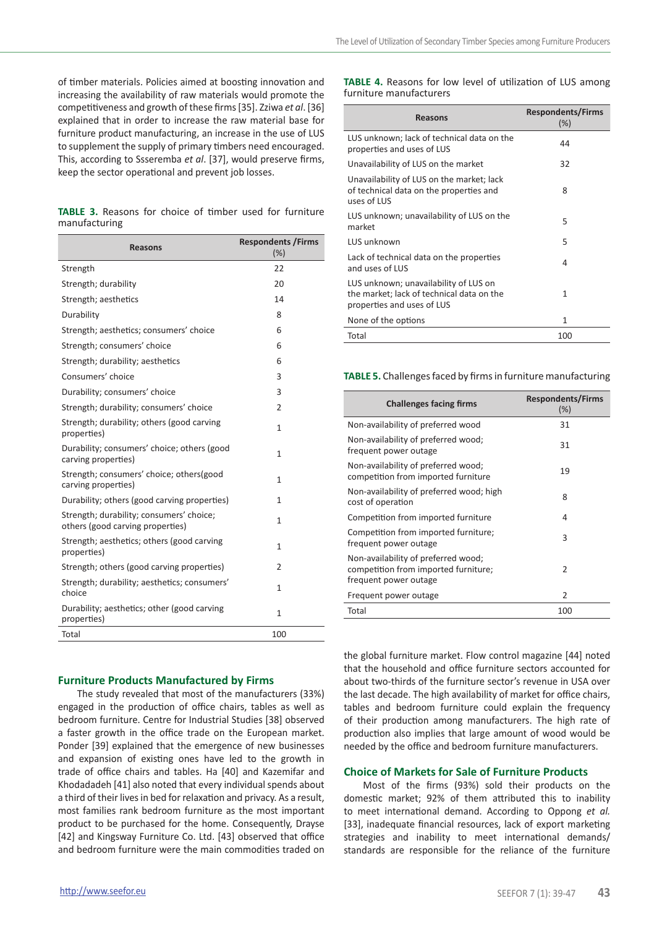of timber materials. Policies aimed at boosting innovation and increasing the availability of raw materials would promote the competitiveness and growth of these firms [35]. Zziwa *et al*. [36] explained that in order to increase the raw material base for furniture product manufacturing, an increase in the use of LUS to supplement the supply of primary timbers need encouraged. This, according to Ssseremba *et al*. [37], would preserve firms, keep the sector operational and prevent job losses.

|               |  |  |  | <b>TABLE 3.</b> Reasons for choice of timber used for furniture |
|---------------|--|--|--|-----------------------------------------------------------------|
| manufacturing |  |  |  |                                                                 |

| <b>Reasons</b>                                                               | <b>Respondents / Firms</b><br>(%) |
|------------------------------------------------------------------------------|-----------------------------------|
| Strength                                                                     | 22                                |
| Strength; durability                                                         | 20                                |
| Strength; aesthetics                                                         | 14                                |
| Durability                                                                   | 8                                 |
| Strength; aesthetics; consumers' choice                                      | 6                                 |
| Strength; consumers' choice                                                  | 6                                 |
| Strength; durability; aesthetics                                             | 6                                 |
| Consumers' choice                                                            | 3                                 |
| Durability; consumers' choice                                                | 3                                 |
| Strength; durability; consumers' choice                                      | 2                                 |
| Strength; durability; others (good carving<br>properties)                    | $\mathbf{1}$                      |
| Durability; consumers' choice; others (good<br>carving properties)           | $\mathbf{1}$                      |
| Strength; consumers' choice; others(good<br>carving properties)              | 1                                 |
| Durability; others (good carving properties)                                 | $\mathbf{1}$                      |
| Strength; durability; consumers' choice;<br>others (good carving properties) | 1                                 |
| Strength; aesthetics; others (good carving<br>properties)                    | $\mathbf{1}$                      |
| Strength; others (good carving properties)                                   | 2                                 |
| Strength; durability; aesthetics; consumers'<br>choice                       | $\mathbf{1}$                      |
| Durability; aesthetics; other (good carving<br>properties)                   | $\mathbf{1}$                      |
| Total                                                                        | 100                               |

## **Furniture Products Manufactured by Firms**

The study revealed that most of the manufacturers (33%) engaged in the production of office chairs, tables as well as bedroom furniture. Centre for Industrial Studies [38] observed a faster growth in the office trade on the European market. Ponder [39] explained that the emergence of new businesses and expansion of existing ones have led to the growth in trade of office chairs and tables. Ha [40] and Kazemifar and Khodadadeh [41] also noted that every individual spends about a third of their lives in bed for relaxation and privacy. As a result, most families rank bedroom furniture as the most important product to be purchased for the home. Consequently, Drayse [42] and Kingsway Furniture Co. Ltd. [43] observed that office and bedroom furniture were the main commodities traded on

**TABLE 4.** Reasons for low level of utilization of LUS among furniture manufacturers

| Reasons                                                                                                          | <b>Respondents/Firms</b><br>(%) |
|------------------------------------------------------------------------------------------------------------------|---------------------------------|
| LUS unknown; lack of technical data on the<br>properties and uses of LUS                                         | 44                              |
| Unavailability of LUS on the market                                                                              | 32                              |
| Unavailability of LUS on the market; lack<br>of technical data on the properties and<br>uses of LUS              | 8                               |
| LUS unknown; unavailability of LUS on the<br>market                                                              | 5                               |
| LUS unknown                                                                                                      | 5                               |
| Lack of technical data on the properties<br>and uses of LUS                                                      | 4                               |
| LUS unknown; unavailability of LUS on<br>the market; lack of technical data on the<br>properties and uses of LUS | 1                               |
| None of the options                                                                                              | $\mathbf{1}$                    |
| Total                                                                                                            | 100                             |
|                                                                                                                  |                                 |

**TABLE 5.** Challenges faced by firms in furniture manufacturing

| <b>Challenges facing firms</b>                                                                       | <b>Respondents/Firms</b><br>(% ) |
|------------------------------------------------------------------------------------------------------|----------------------------------|
| Non-availability of preferred wood                                                                   | 31                               |
| Non-availability of preferred wood;<br>frequent power outage                                         | 31                               |
| Non-availability of preferred wood;<br>competition from imported furniture                           | 19                               |
| Non-availability of preferred wood; high<br>cost of operation                                        | 8                                |
| Competition from imported furniture                                                                  | 4                                |
| Competition from imported furniture;<br>frequent power outage                                        | 3                                |
| Non-availability of preferred wood;<br>competition from imported furniture;<br>frequent power outage | $\mathcal{P}$                    |
| Frequent power outage                                                                                | 2                                |
| Total                                                                                                | 100                              |

the global furniture market. Flow control magazine [44] noted that the household and office furniture sectors accounted for about two-thirds of the furniture sector's revenue in USA over the last decade. The high availability of market for office chairs, tables and bedroom furniture could explain the frequency of their production among manufacturers. The high rate of production also implies that large amount of wood would be needed by the office and bedroom furniture manufacturers.

#### **Choice of Markets for Sale of Furniture Products**

Most of the firms (93%) sold their products on the domestic market; 92% of them attributed this to inability to meet international demand. According to Oppong *et al.* [33], inadequate financial resources, lack of export marketing strategies and inability to meet international demands/ standards are responsible for the reliance of the furniture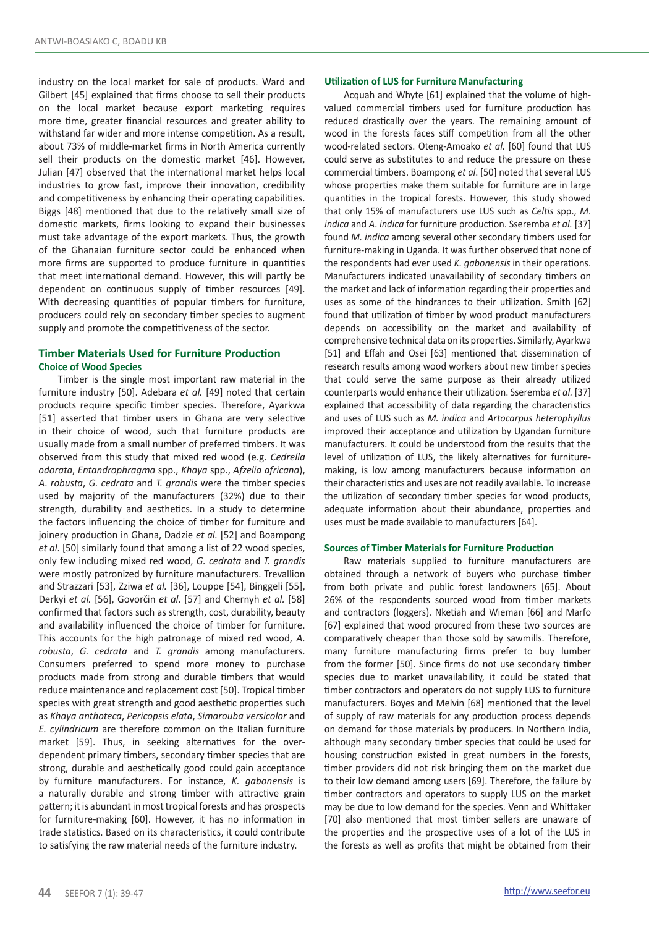industry on the local market for sale of products. Ward and Gilbert [45] explained that firms choose to sell their products on the local market because export marketing requires more time, greater financial resources and greater ability to withstand far wider and more intense competition. As a result, about 73% of middle-market firms in North America currently sell their products on the domestic market [46]. However, Julian [47] observed that the international market helps local industries to grow fast, improve their innovation, credibility and competitiveness by enhancing their operating capabilities. Biggs [48] mentioned that due to the relatively small size of domestic markets, firms looking to expand their businesses must take advantage of the export markets. Thus, the growth of the Ghanaian furniture sector could be enhanced when more firms are supported to produce furniture in quantities that meet international demand. However, this will partly be dependent on continuous supply of timber resources [49]. With decreasing quantities of popular timbers for furniture, producers could rely on secondary timber species to augment supply and promote the competitiveness of the sector.

# **Timber Materials Used for Furniture Production Choice of Wood Species**

Timber is the single most important raw material in the furniture industry [50]. Adebara *et al.* [49] noted that certain products require specific timber species. Therefore, Ayarkwa [51] asserted that timber users in Ghana are very selective in their choice of wood, such that furniture products are usually made from a small number of preferred timbers. It was observed from this study that mixed red wood (e.g. *Cedrella odorata*, *Entandrophragma* spp., *Khaya* spp., *Afzelia africana*), *A*. *robusta*, *G. cedrata* and *T. grandis* were the timber species used by majority of the manufacturers (32%) due to their strength, durability and aesthetics. In a study to determine the factors influencing the choice of timber for furniture and joinery production in Ghana, Dadzie *et al.* [52] and Boampong *et al*. [50] similarly found that among a list of 22 wood species, only few including mixed red wood, *G. cedrata* and *T. grandis* were mostly patronized by furniture manufacturers. Trevallion and Strazzari [53], Zziwa *et al.* [36], Louppe [54], Binggeli [55], Derkyi *et al.* [56], Govorčin *et al*. [57] and Chernyh *et al.* [58] confirmed that factors such as strength, cost, durability, beauty and availability influenced the choice of timber for furniture. This accounts for the high patronage of mixed red wood, *A*. *robusta*, *G. cedrata* and *T. grandis* among manufacturers. Consumers preferred to spend more money to purchase products made from strong and durable timbers that would reduce maintenance and replacement cost [50]. Tropical timber species with great strength and good aesthetic properties such as *Khaya anthoteca*, *Pericopsis elata*, *Simarouba versicolor* and *E. cylindricum* are therefore common on the Italian furniture market [59]. Thus, in seeking alternatives for the overdependent primary timbers, secondary timber species that are strong, durable and aesthetically good could gain acceptance by furniture manufacturers. For instance, *K. gabonensis* is a naturally durable and strong timber with attractive grain pattern; it is abundant in most tropical forests and has prospects for furniture-making [60]. However, it has no information in trade statistics. Based on its characteristics, it could contribute to satisfying the raw material needs of the furniture industry.

## **Utilization of LUS for Furniture Manufacturing**

Acquah and Whyte [61] explained that the volume of highvalued commercial timbers used for furniture production has reduced drastically over the years. The remaining amount of wood in the forests faces stiff competition from all the other wood-related sectors. Oteng-Amoako *et al.* [60] found that LUS could serve as substitutes to and reduce the pressure on these commercial timbers. Boampong *et al*. [50] noted that several LUS whose properties make them suitable for furniture are in large quantities in the tropical forests. However, this study showed that only 15% of manufacturers use LUS such as *Celtis* spp., *M*. *indica* and *A*. *indica* for furniture production. Sseremba *et al.* [37] found *M. indica* among several other secondary timbers used for furniture-making in Uganda. It was further observed that none of the respondents had ever used *K. gabonensis* in their operations. Manufacturers indicated unavailability of secondary timbers on the market and lack of information regarding their properties and uses as some of the hindrances to their utilization. Smith [62] found that utilization of timber by wood product manufacturers depends on accessibility on the market and availability of comprehensive technical data on its properties. Similarly, Ayarkwa [51] and Effah and Osei [63] mentioned that dissemination of research results among wood workers about new timber species that could serve the same purpose as their already utilized counterparts would enhance their utilization. Sseremba *et al.* [37] explained that accessibility of data regarding the characteristics and uses of LUS such as *M. indica* and *Artocarpus heterophyllus* improved their acceptance and utilization by Ugandan furniture manufacturers. It could be understood from the results that the level of utilization of LUS, the likely alternatives for furnituremaking, is low among manufacturers because information on their characteristics and uses are not readily available. To increase the utilization of secondary timber species for wood products, adequate information about their abundance, properties and uses must be made available to manufacturers [64].

# **Sources of Timber Materials for Furniture Production**

Raw materials supplied to furniture manufacturers are obtained through a network of buyers who purchase timber from both private and public forest landowners [65]. About 26% of the respondents sourced wood from timber markets and contractors (loggers). Nketiah and Wieman [66] and Marfo [67] explained that wood procured from these two sources are comparatively cheaper than those sold by sawmills. Therefore, many furniture manufacturing firms prefer to buy lumber from the former [50]. Since firms do not use secondary timber species due to market unavailability, it could be stated that timber contractors and operators do not supply LUS to furniture manufacturers. Boyes and Melvin [68] mentioned that the level of supply of raw materials for any production process depends on demand for those materials by producers. In Northern India, although many secondary timber species that could be used for housing construction existed in great numbers in the forests, timber providers did not risk bringing them on the market due to their low demand among users [69]. Therefore, the failure by timber contractors and operators to supply LUS on the market may be due to low demand for the species. Venn and Whittaker [70] also mentioned that most timber sellers are unaware of the properties and the prospective uses of a lot of the LUS in the forests as well as profits that might be obtained from their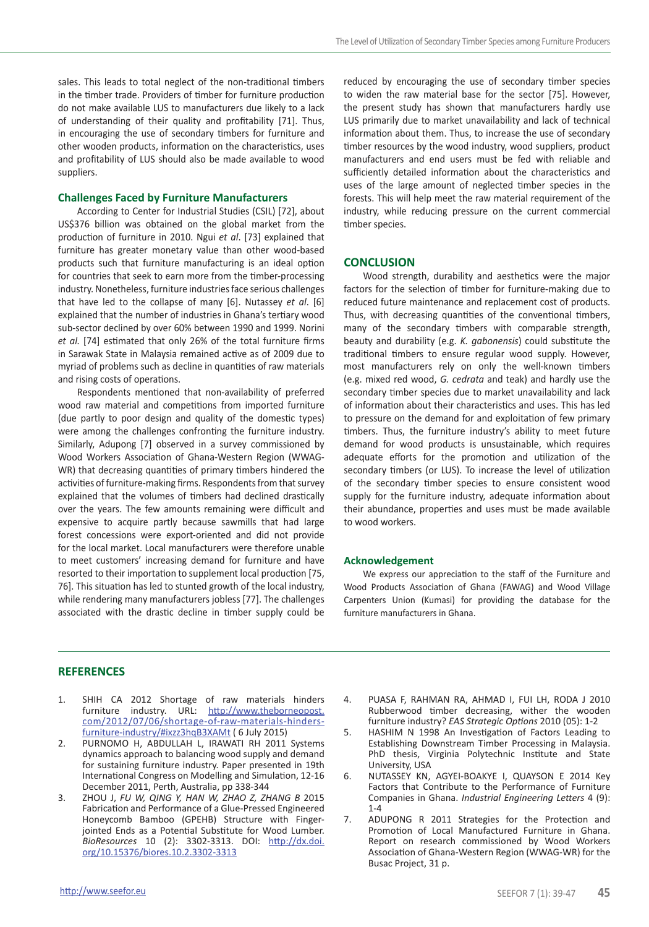sales. This leads to total neglect of the non-traditional timbers in the timber trade. Providers of timber for furniture production do not make available LUS to manufacturers due likely to a lack of understanding of their quality and profitability [71]. Thus, in encouraging the use of secondary timbers for furniture and other wooden products, information on the characteristics, uses and profitability of LUS should also be made available to wood suppliers.

# **Challenges Faced by Furniture Manufacturers**

According to Center for Industrial Studies (CSIL) [72], about US\$376 billion was obtained on the global market from the production of furniture in 2010. Ngui *et al*. [73] explained that furniture has greater monetary value than other wood-based products such that furniture manufacturing is an ideal option for countries that seek to earn more from the timber-processing industry. Nonetheless, furniture industries face serious challenges that have led to the collapse of many [6]. Nutassey *et al*. [6] explained that the number of industries in Ghana's tertiary wood sub-sector declined by over 60% between 1990 and 1999. Norini *et al.* [74] estimated that only 26% of the total furniture firms in Sarawak State in Malaysia remained active as of 2009 due to myriad of problems such as decline in quantities of raw materials and rising costs of operations.

Respondents mentioned that non-availability of preferred wood raw material and competitions from imported furniture (due partly to poor design and quality of the domestic types) were among the challenges confronting the furniture industry. Similarly, Adupong [7] observed in a survey commissioned by Wood Workers Association of Ghana-Western Region (WWAG-WR) that decreasing quantities of primary timbers hindered the activities of furniture-making firms. Respondents from that survey explained that the volumes of timbers had declined drastically over the years. The few amounts remaining were difficult and expensive to acquire partly because sawmills that had large forest concessions were export-oriented and did not provide for the local market. Local manufacturers were therefore unable to meet customers' increasing demand for furniture and have resorted to their importation to supplement local production [75, 76]. This situation has led to stunted growth of the local industry, while rendering many manufacturers jobless [77]. The challenges associated with the drastic decline in timber supply could be

reduced by encouraging the use of secondary timber species to widen the raw material base for the sector [75]. However, the present study has shown that manufacturers hardly use LUS primarily due to market unavailability and lack of technical information about them. Thus, to increase the use of secondary timber resources by the wood industry, wood suppliers, product manufacturers and end users must be fed with reliable and sufficiently detailed information about the characteristics and uses of the large amount of neglected timber species in the forests. This will help meet the raw material requirement of the industry, while reducing pressure on the current commercial timber species.

#### **CONCLUSION**

Wood strength, durability and aesthetics were the major factors for the selection of timber for furniture-making due to reduced future maintenance and replacement cost of products. Thus, with decreasing quantities of the conventional timbers, many of the secondary timbers with comparable strength, beauty and durability (e.g. *K. gabonensis*) could substitute the traditional timbers to ensure regular wood supply. However, most manufacturers rely on only the well-known timbers (e.g. mixed red wood, *G. cedrata* and teak) and hardly use the secondary timber species due to market unavailability and lack of information about their characteristics and uses. This has led to pressure on the demand for and exploitation of few primary timbers. Thus, the furniture industry's ability to meet future demand for wood products is unsustainable, which requires adequate efforts for the promotion and utilization of the secondary timbers (or LUS). To increase the level of utilization of the secondary timber species to ensure consistent wood supply for the furniture industry, adequate information about their abundance, properties and uses must be made available to wood workers.

#### **Acknowledgement**

We express our appreciation to the staff of the Furniture and Wood Products Association of Ghana (FAWAG) and Wood Village Carpenters Union (Kumasi) for providing the database for the furniture manufacturers in Ghana.

# **REFERENCES**

- 1. SHIH CA 2012 Shortage of raw materials hinders furniture industry. URL: http://www.theborneopost. com/2012/07/06/shortage-of-raw-materials-hindersfurniture-industry/#ixzz3hqB3XAMt ( 6 July 2015)
- 2. PURNOMO H, ABDULLAH L, IRAWATI RH 2011 Systems dynamics approach to balancing wood supply and demand for sustaining furniture industry. Paper presented in 19th International Congress on Modelling and Simulation, 12-16 December 2011, Perth, Australia, pp 338-344
- 3. ZHOU J, *FU W, QING Y, HAN W, ZHAO Z, ZHANG B* 2015 Fabrication and Performance of a Glue-Pressed Engineered Honeycomb Bamboo (GPEHB) Structure with Fingerjointed Ends as a Potential Substitute for Wood Lumber. *BioResources* 10 (2): 3302-3313. DOI: http://dx.doi. org/10.15376/biores.10.2.3302-3313
- 4. PUASA F, RAHMAN RA, AHMAD I, FUI LH, RODA J 2010 Rubberwood timber decreasing, wither the wooden furniture industry? *EAS Strategic Options* 2010 (05): 1-2
- 5. HASHIM N 1998 An Investigation of Factors Leading to Establishing Downstream Timber Processing in Malaysia. PhD thesis, Virginia Polytechnic Institute and State University, USA
- 6. NUTASSEY KN, AGYEI-BOAKYE I, QUAYSON E 2014 Key Factors that Contribute to the Performance of Furniture Companies in Ghana. *Industrial Engineering Letters* 4 (9):  $1 - 4$
- 7. ADUPONG R 2011 Strategies for the Protection and Promotion of Local Manufactured Furniture in Ghana. Report on research commissioned by Wood Workers Association of Ghana-Western Region (WWAG-WR) for the Busac Project, 31 p.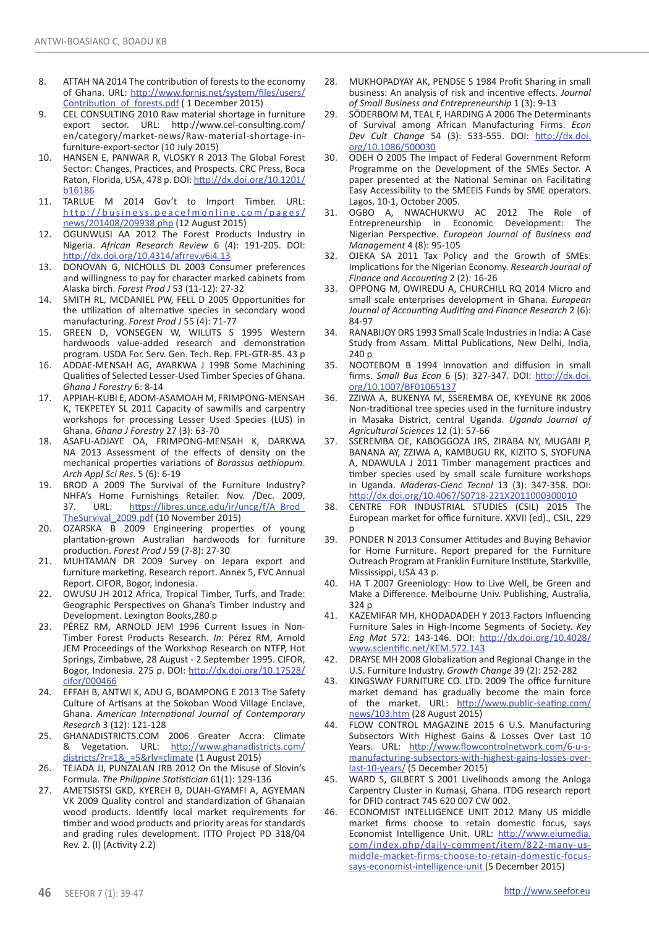- 8. ATTAH NA 2014 The contribution of forests to the economy of Ghana. URL: http://www.fornis.net/system/files/users/ Contribution\_of\_forests.pdf ( 1 December 2015)
- 9. CEL CONSULTING 2010 Raw material shortage in furniture export sector. URL: http://www.cel-consulting.com/ en/category/market-news/Raw-material-shortage-infurniture-export-sector (10 July 2015)
- 10. HANSEN E, PANWAR R, VLOSKY R 2013 The Global Forest Sector: Changes, Practices, and Prospects. CRC Press, Boca Raton, Florida, USA, 478 p. DOI: http://dx.doi.org/10.1201/ b16186
- 11. TARLUE M 2014 Gov't to Import Timber. URL: http://business.peacefmonline.com/pages/ news/201408/209938.php (12 August 2015)
- 12. OGUNWUSI AA 2012 The Forest Products Industry in Nigeria. *African Research Review* 6 (4): 191-205. DOI: http://dx.doi.org/10.4314/afrrev.v6i4.13
- 13. DONOVAN G, NICHOLLS DL 2003 Consumer preferences and willingness to pay for character marked cabinets from Alaska birch. *Forest Prod J* 53 (11-12): 27-32
- 14. SMITH RL, MCDANIEL PW, FELL D 2005 Opportunities for the utilization of alternative species in secondary wood manufacturing. *Forest Prod J* 55 (4): 71-77
- 15. GREEN D, VONSEGEN W, WILLITS S 1995 Western hardwoods value-added research and demonstration program. USDA For. Serv. Gen. Tech. Rep. FPL-GTR-85. 43 p
- 16. ADDAE-MENSAH AG, AYARKWA J 1998 Some Machining Qualities of Selected Lesser-Used Timber Species of Ghana. *Ghana J Forestry* 6: 8-14
- 17. APPIAH-KUBI E, ADOM-ASAMOAH M, FRIMPONG-MENSAH K, TEKPETEY SL 2011 Capacity of sawmills and carpentry workshops for processing Lesser Used Species (LUS) in Ghana. *Ghana J Forestry* 27 (3): 63-70
- 18. ASAFU-ADJAYE OA, FRIMPONG-MENSAH K, DARKWA NA 2013 Assessment of the effects of density on the mechanical properties variations of *Borassus aethiopum*. *Arch Appl Sci Res*. 5 (6): 6-19
- 19. BROD A 2009 The Survival of the Furniture Industry? NHFA's Home Furnishings Retailer. Nov. /Dec. 2009,<br>37. URL: https://libres.uncg.edu/ir/uncg/f/A Brod https://libres.uncg.edu/ir/uncg/f/A\_Brod\_ TheSurvival\_2009.pdf (10 November 2015)
- 20. OZARSKA B 2009 Engineering properties of young plantation-grown Australian hardwoods for furniture production. *Forest Prod J* 59 (7-8): 27-30
- 21. MUHTAMAN DR 2009 Survey on Jepara export and furniture marketing. Research report. Annex 5, FVC Annual Report. CIFOR, Bogor, Indonesia.
- 22. OWUSU JH 2012 Africa, Tropical Timber, Turfs, and Trade: Geographic Perspectives on Ghana's Timber Industry and Development. Lexington Books,280 p
- 23. PÉREZ RM, ARNOLD JEM 1996 Current Issues in Non-Timber Forest Products Research. *In*: Pérez RM, Arnold JEM Proceedings of the Workshop Research on NTFP, Hot Springs, Zimbabwe, 28 August - 2 September 1995. CIFOR, Bogor, Indonesia. 275 p. DOI: http://dx.doi.org/10.17528/ cifor/000466
- 24. EFFAH B, ANTWI K, ADU G, BOAMPONG E 2013 The Safety Culture of Artisans at the Sokoban Wood Village Enclave, Ghana. *American International Journal of Contemporary Research* 3 (12): 121-128
- 25. GHANADISTRICTS.COM 2006 Greater Accra: Climate Vegetation. URL: http://www.ghanadistricts.com/ districts/?r=1&\_=5&rlv=climate (1 August 2015)
- 26. TEJADA JJ, PUNZALAN JRB 2012 On the Misuse of Slovin's Formula. *The Philippine Statistician* 61(1): 129-136
- 27. AMETSISTSI GKD, KYEREH B, DUAH-GYAMFI A, AGYEMAN VK 2009 Quality control and standardization of Ghanaian wood products. Identify local market requirements for timber and wood products and priority areas for standards and grading rules development. ITTO Project PD 318/04 Rev. 2. (I) (Activity 2.2)
- 28. MUKHOPADYAY AK, PENDSE S 1984 Profit Sharing in small business: An analysis of risk and incentive effects. *Journal of Small Business and Entrepreneurship* 1 (3): 9-13
- 29. SÖDERBOM M, TEAL F, HARDING A 2006 The Determinants of Survival among African Manufacturing Firms. *Econ Dev Cult Change* 54 (3): 533-555. DOI: http://dx.doi. org/10.1086/500030
- 30. ODEH O 2005 The Impact of Federal Government Reform Programme on the Development of the SMEs Sector. A paper presented at the National Seminar on Facilitating Easy Accessibility to the SMEEIS Funds by SME operators. Lagos, 10-1, October 2005.
- 31. OGBO A, NWACHUKWU AC 2012 The Role of Entrepreneurship in Economic Development: The Nigerian Perspective. *European Journal of Business and Management* 4 (8): 95-105
- 32. OJEKA SA 2011 Tax Policy and the Growth of SMEs: Implications for the Nigerian Economy. *Research Journal of Finance and Accounting* 2 (2): 16-26
- 33. OPPONG M, OWIREDU A, CHURCHILL RQ 2014 Micro and small scale enterprises development in Ghana. *European Journal of Accounting Auditing and Finance Research* 2 (6): 84-97
- 34. RANABIJOY DRS 1993 Small Scale Industries in India: A Case Study from Assam. Mittal Publications, New Delhi, India, 240 p
- 35. NOOTEBOM B 1994 Innovation and diffusion in small firms. *Small Bus Econ* 6 (5): 327-347. DOI: http://dx.doi. org/10.1007/BF01065137
- 36. ZZIWA A, BUKENYA M, SSEREMBA OE, KYEYUNE RK 2006 Non-traditional tree species used in the furniture industry in Masaka District, central Uganda. *Uganda Journal of Agricultural Sciences* 12 (1): 57-66
- 37. SSEREMBA OE, KABOGGOZA JRS, ZIRABA NY, MUGABI P, BANANA AY, ZZIWA A, KAMBUGU RK, KIZITO S, SYOFUNA A, NDAWULA J 2011 Timber management practices and timber species used by small scale furniture workshops in Uganda. *Maderas-Cienc Tecnol* 13 (3): 347-358. DOI: http://dx.doi.org/10.4067/S0718-221X2011000300010
- 38. CENTRE FOR INDUSTRIAL STUDIES (CSIL) 2015 The European market for office furniture. XXVII (ed)., CSIL, 229 p
- 39. PONDER N 2013 Consumer Attitudes and Buying Behavior for Home Furniture. Report prepared for the Furniture Outreach Program at Franklin Furniture Institute, Starkville, Mississippi, USA 43 p.
- 40. HA T 2007 Greeniology: How to Live Well, be Green and Make a Difference. Melbourne Univ. Publishing, Australia, 324 p
- 41. KAZEMIFAR MH, KHODADADEH Y 2013 Factors Influencing Furniture Sales in High-Income Segments of Society. *Key Eng Mat* 572: 143-146. DOI: http://dx.doi.org/10.4028/ www.scientific.net/KEM.572.143
- 42. DRAYSE MH 2008 Globalization and Regional Change in the U.S. Furniture Industry. *Growth Change* 39 (2): 252-282
- 43. KINGSWAY FURNITURE CO. LTD. 2009 The office furniture market demand has gradually become the main force of the market. URL: http://www.public-seating.com/ news/103.htm (28 August 2015)
- 44. FLOW CONTROL MAGAZINE 2015 6 U.S. Manufacturing Subsectors With Highest Gains & Losses Over Last 10 Years. URL: http://www.flowcontrolnetwork.com/6-u-smanufacturing-subsectors-with-highest-gains-losses-overlast-10-years/ (5 December 2015)
- 45. WARD S, GILBERT S 2001 Livelihoods among the Anloga Carpentry Cluster in Kumasi, Ghana. ITDG research report for DFID contract 745 620 007 CW 002.
- 46. ECONOMIST INTELLIGENCE UNIT 2012 Many US middle market firms choose to retain domestic focus, says Economist Intelligence Unit. URL: http://www.eiumedia. com/index.php/daily-comment/item/822-many-usmiddle-market-firms-choose-to-retain-domestic-focussays-economist-intelligence-unit (5 December 2015)